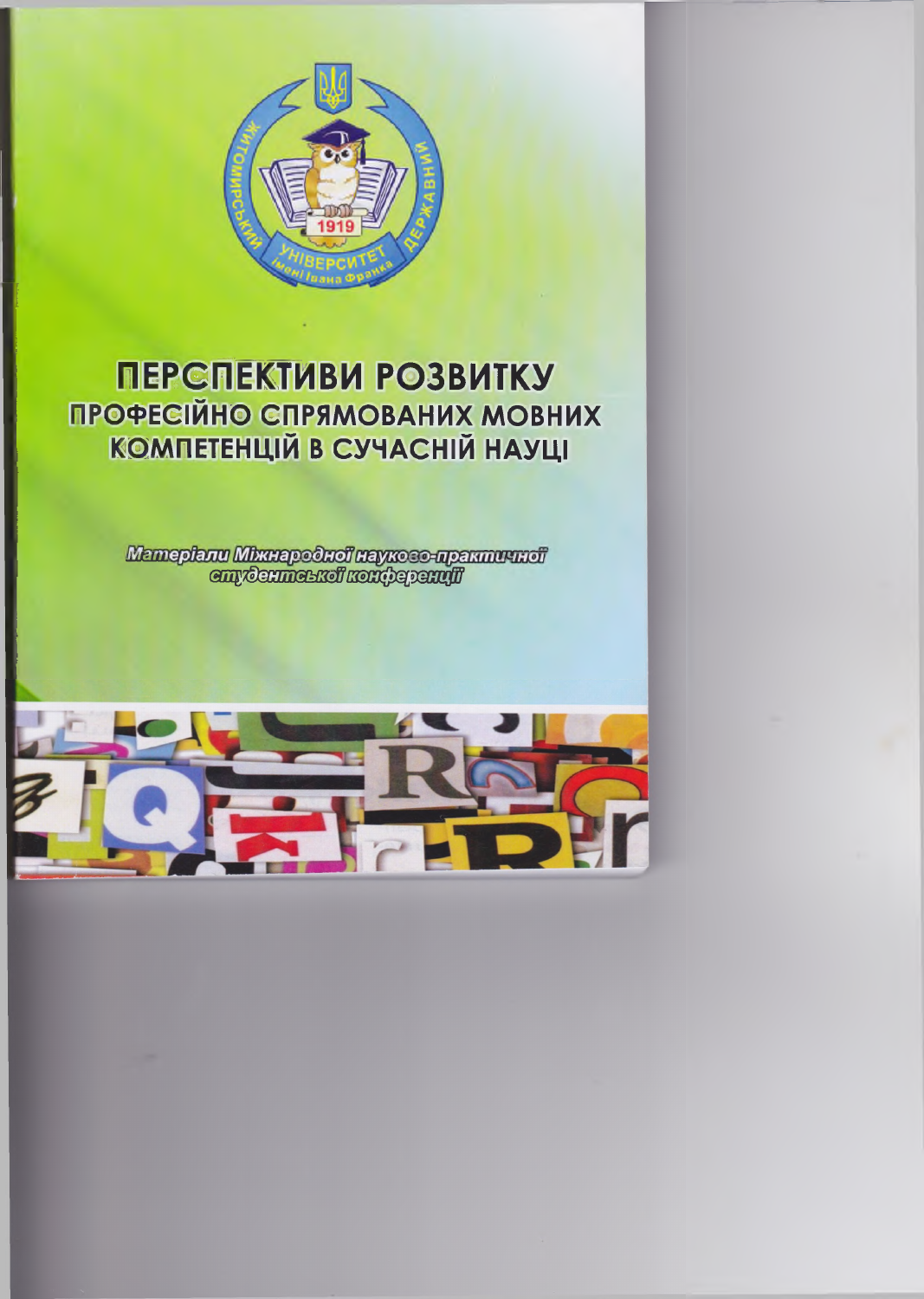

# ПЕРСПЕКТИВИ РОЗВИТКУ ПРОФЕСІЙНО СПРЯМОВАНИХ МОВНИХ **КОМПЕТЕНЦІЙ В СУЧАСНІЙ НАУЦІ**

Mameplanu Mkunapodnoi naykoso-npakmuundi<br>emydenmenkoi kontyapanufi

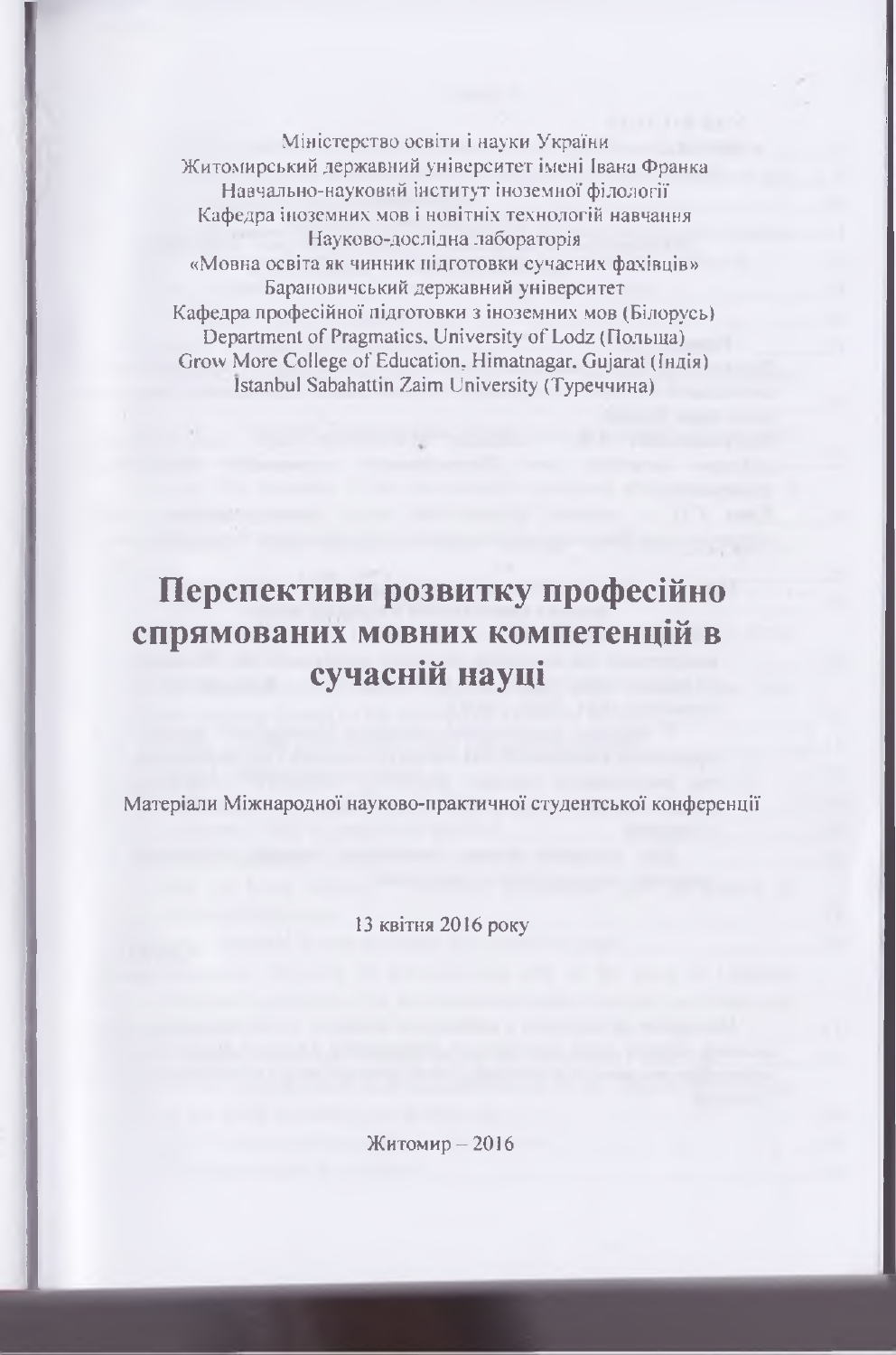Міністерство освіти і науки України Житомирський державний університет імені Івана Франка Навчально-науковий інститут іноземної філології Кафедра іноземних мов і новітніх технологій навчання Науково-дослідна лабораторія «Мовна освіта як чинник підготовки сучасних фахівців» Барановичський державний університет Кафедра професійної підготовки з іноземних мов (Білорусь) Department of Pragmatics, University of Lodz (Польша) Grow More College of Education, Himatnagar, Gujarat (Індія) Istanbul Sabahattin Zaim University (Туреччина)

## **Перспективи розвитку професійно спрямованих мовних компетенцій в сучасній науці**

Матеріали Міжнародної науково-практичної студентської конференції

13 квітня 2016 року

Житомир — 2016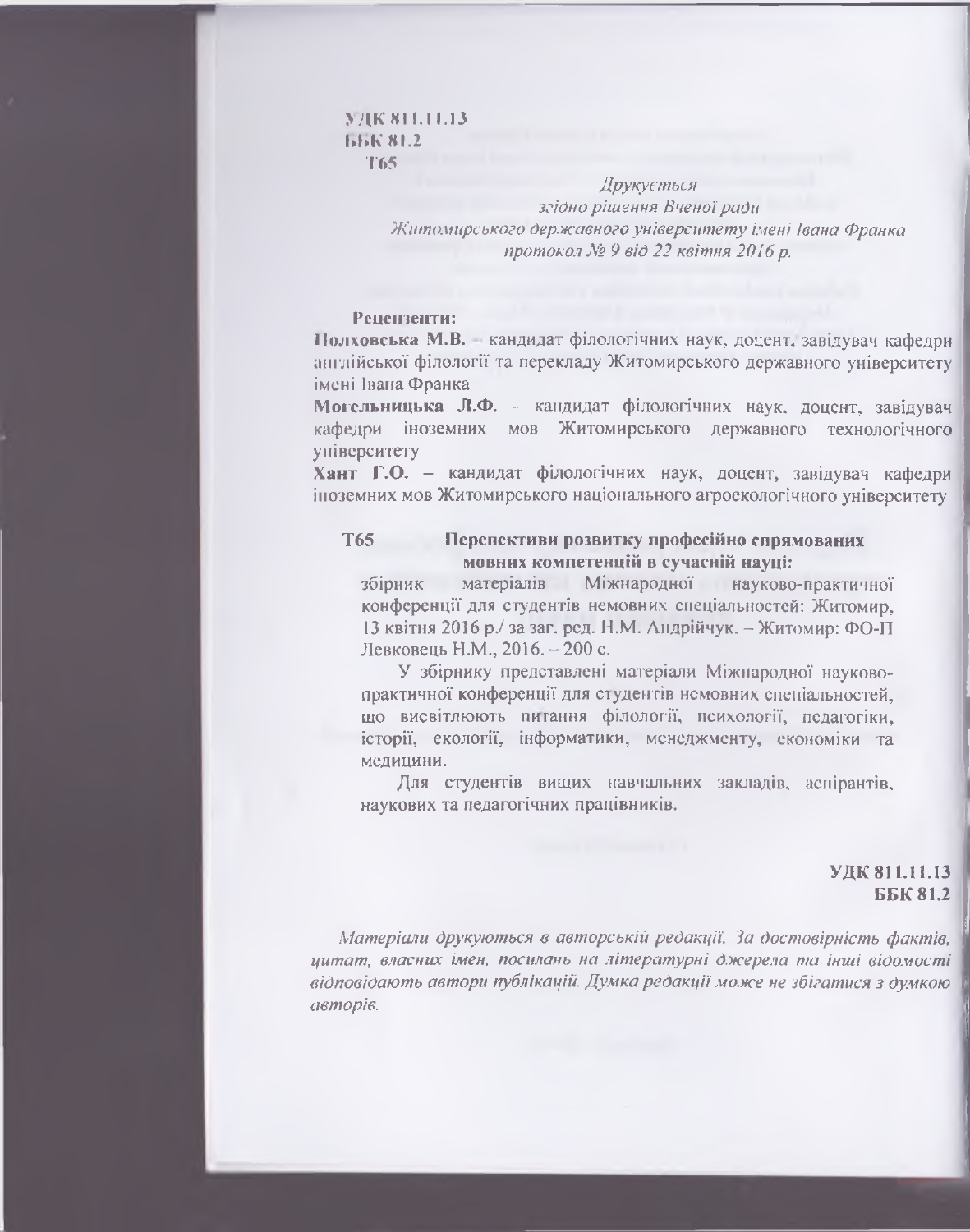#### **УДК 811.11.13** ББК8І.2 **Т65**

*Друкується згідно рішення Вченої ради Житомирського державного університету імені Івана Франка протокол Хе 9 від 22 квітня 2016 р.*

## **Рецензенти:**

**І Іолховська М.В.** кандидат філологічних наук, доцент, завідувач кафедри англійської філології та перекладу Житомирського державного університету імені Івана Франка

Могельницька Л.Ф. - кандидат філологічних наук, доцент, завідувач кафедри іноземних мов Житомирського державного технологічного університету

**Хант Г.О.** - кандидат філологічних наук, доцент, завідувач кафедри іноземних мов Житомирського національного агроекологічного університету

## **Т65 Перспективи розвитку професійно спрямованих мовних компетенцій в сучасній науці:**

збірник матеріалів Міжнародної науково-практичної конференції для студентів немовних спеціальностей: Житомир, 13 квітня 2016 р./ за заг. ред. Н.М. Андрійчук. - Житомир: ФО-П Левковець Н.М., 2016. - 200 с.

У збірнику представлені матеріали Міжнародної науковопрактичної конференції для студентів немовних спеціальностей, що висвітлюють питання філології, психології, педагогіки, історії, екології, інформатики, менеджменту, економіки та медицини.

Для студентів вищих навчальних закладів, аспірантів, наукових та педагогічних працівників.

## **УДК 811.11.13 ББК81.2**

*Матеріали друкуються в авторській редакції. За достовірність фактів,* **І** *цитат, власних імен, постань на літературні джерела та інші відомості* **І** *відповідають автори публікацій. Думка редакції може не збігатися з думкою* **1** *авторів.*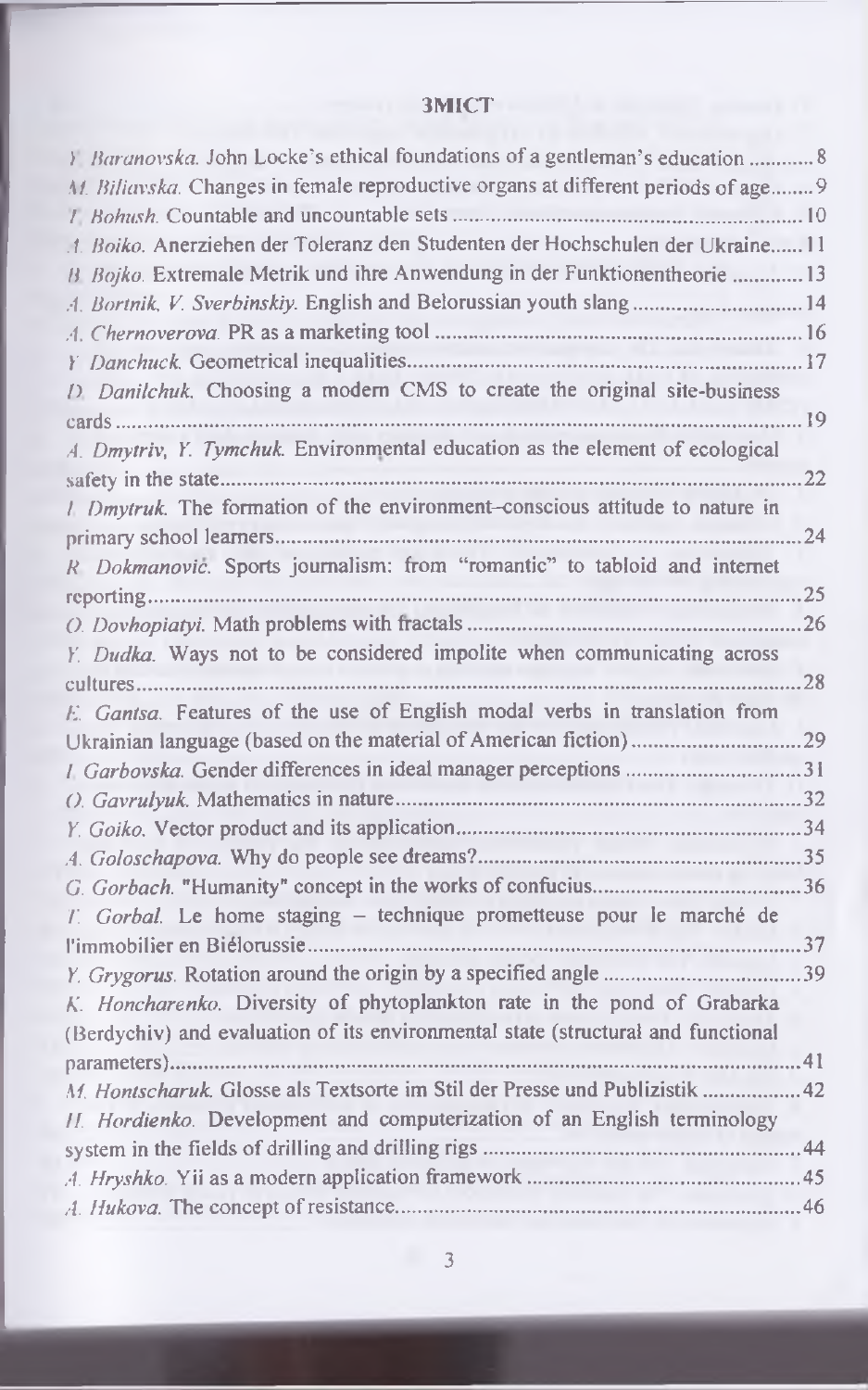## 3MICT

| Baranovska. John Locke's ethical foundations of a gentleman's education  8        |       |
|-----------------------------------------------------------------------------------|-------|
| M. Bilianska. Changes in female reproductive organs at different periods of age 9 |       |
|                                                                                   |       |
| 1. Boiko. Anerziehen der Toleranz den Studenten der Hochschulen der Ukraine 11    |       |
| B Bojko. Extremale Metrik und ihre Anwendung in der Funktionentheorie 13          |       |
| A. Bortnik, V. Sverbinskiy. English and Belorussian youth slang 14                |       |
|                                                                                   |       |
|                                                                                   |       |
| 1) Danilchuk. Choosing a modern CMS to create the original site-business          |       |
| $cards$                                                                           | 19    |
| A. Dmytriv, Y. Tymchuk. Environmental education as the element of ecological      |       |
|                                                                                   | 22    |
| 1. Dmytruk. The formation of the environment-conscious attitude to nature in      |       |
|                                                                                   | 24    |
| R Dokmanović. Sports journalism: from "romantic" to tabloid and internet          |       |
|                                                                                   | 25    |
|                                                                                   | .26   |
| Y. Dudka. Ways not to be considered impolite when communicating across            |       |
|                                                                                   | 28    |
| E. Gantsa. Features of the use of English modal verbs in translation from         |       |
|                                                                                   | .29   |
| 1. Garbovska. Gender differences in ideal manager perceptions 31                  |       |
|                                                                                   | .32   |
|                                                                                   |       |
|                                                                                   |       |
|                                                                                   |       |
| T. Gorbal. Le home staging - technique prometteuse pour le marché de              |       |
|                                                                                   |       |
|                                                                                   | .39   |
| K. Honcharenko. Diversity of phytoplankton rate in the pond of Grabarka           |       |
| (Berdychiv) and evaluation of its environmental state (structural and functional  |       |
|                                                                                   | $-41$ |
| M. Hontscharuk. Glosse als Textsorte im Stil der Presse und Publizistik           | .42   |
| II. Hordienko. Development and computerization of an English terminology          |       |
|                                                                                   |       |
|                                                                                   |       |
|                                                                                   |       |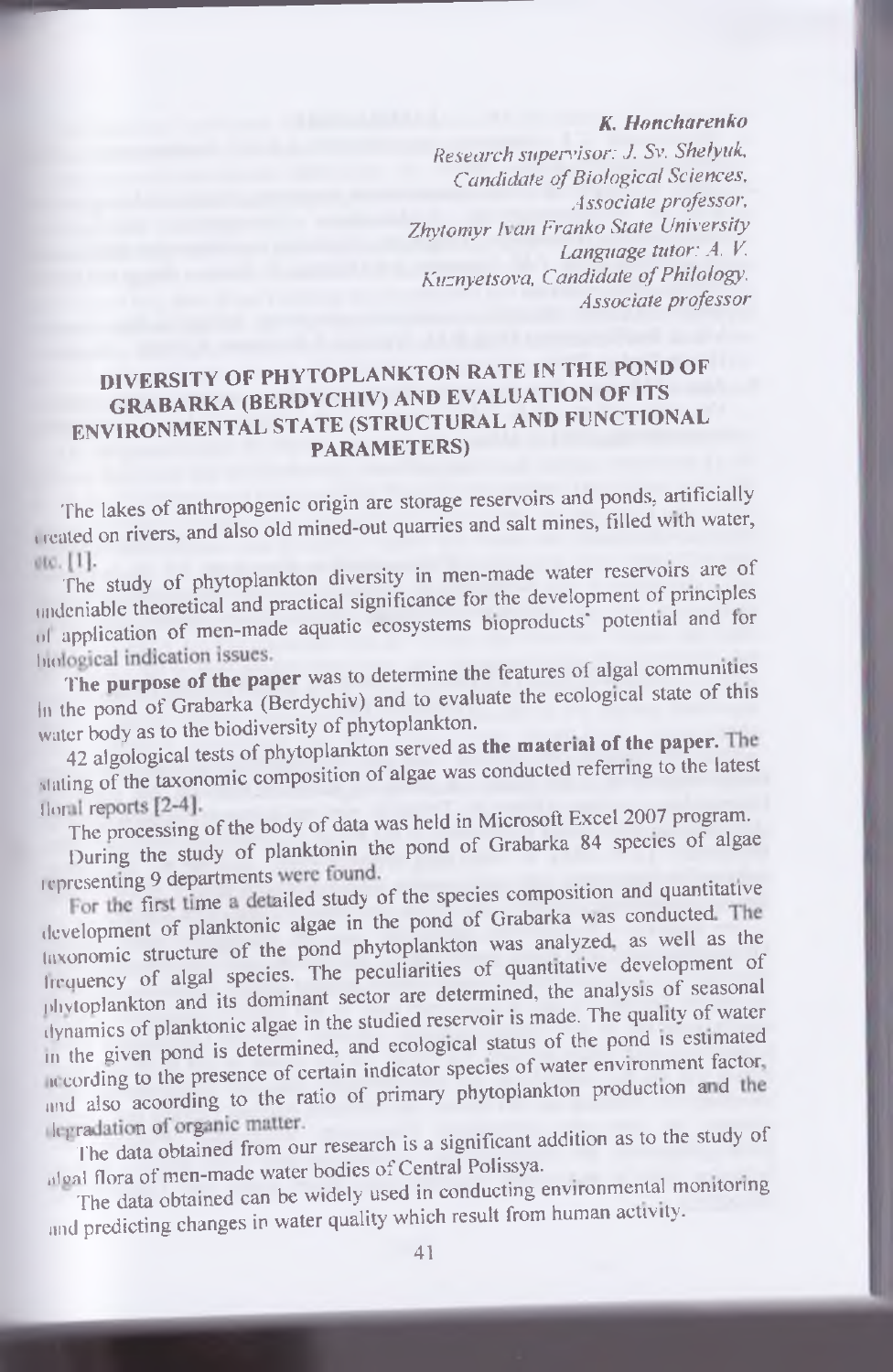## *K. Honcharenko*

*R esearch s u p e n 'isor: J. Sv. Sheiyuk. Candidate of Biological Sciences. A sso cia te professor.* Zhytomyr Ivan Franko State University *L anguage tutor: A. V. Kuznyetsova, Candidate of Philology. A ssociate p ro fesso r*

## **DIVERSITY OF PHYTOPLANKTON RATE IN THE POND OF GRABARKA (BERDYCH1V) AND EVALUATION OF ITS ENVIRONMENTAL STATE (STRUCTURAL AND FUNCTIONAL PARAMETERS)**

The lakes of anthropogenic origin are storage reservoirs and ponds, artificially treated on rivers, and also old mined-out quarries and salt mines, filled with water,

etc. [1]. The study of phytoplankton diversity in men-made water reservoirs are of undeniable theoretical and practical significance for the development of principles <sup>11</sup> application of men-made aquatic ecosystems bioproducts<sup>2</sup> potential and for

biological indication issues.<br>The purpose of the paper was to determine the features of algal communities In the pond of Grabarka (Berdychiv) and to evaluate the ecological state of this water body as to the biodiversity of phytoplankton.

42 algological tests of phytoplankton served as the material of the paper. The stating of the taxonomic composition of algae was conducted referring to the latest

The processing of the body of data was held in Microsoft Excel 2007 program.

During the study of planktonin the pond of Grabarka 84 species of algae representing 9 departments were found.

For the first time a detailed study of the species composition and quantitative development of planktonic algae in the pond of Grabarka was conducted. The taxonomic structure of the pond phytoplankton was analyzed as well as the lirquency of algal species. The peculiarities of quantitative development of nhvloplankton and its dominant sector are determined, the analysis of seasonal dynamics of planktonic algae in the studied reservoir is made. The quality of water m the given pond is determined, and ecological status of the pond is estimated according to the presence of certain indicator species of water environment factor. and also acoording to the ratio of primary phytoplankton production and the

legradation of organic matter.<br>The data obtained from our research is a significant addition as to the study of algal flora of men-made water bodies of Central Polissya.

The data obtained can be widely used in conducting environmental monitoring and predicting changes in water quality which result from human activity.